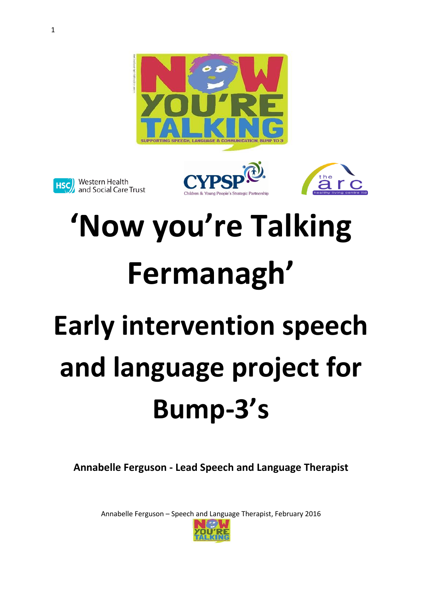







# **'Now you're Talking Fermanagh'**

# **Early intervention speech and language project for Bump-3's**

**Annabelle Ferguson - Lead Speech and Language Therapist**

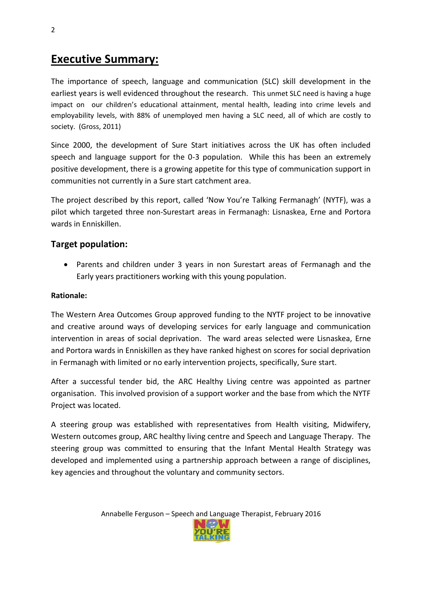## **Executive Summary:**

The importance of speech, language and communication (SLC) skill development in the earliest years is well evidenced throughout the research. This unmet SLC need is having a huge impact on our children's educational attainment, mental health, leading into crime levels and employability levels, with 88% of unemployed men having a SLC need, all of which are costly to society. (Gross, 2011)

Since 2000, the development of Sure Start initiatives across the UK has often included speech and language support for the 0-3 population. While this has been an extremely positive development, there is a growing appetite for this type of communication support in communities not currently in a Sure start catchment area.

The project described by this report, called 'Now You're Talking Fermanagh' (NYTF), was a pilot which targeted three non-Surestart areas in Fermanagh: Lisnaskea, Erne and Portora wards in Enniskillen.

#### **Target population:**

 Parents and children under 3 years in non Surestart areas of Fermanagh and the Early years practitioners working with this young population.

#### **Rationale:**

The Western Area Outcomes Group approved funding to the NYTF project to be innovative and creative around ways of developing services for early language and communication intervention in areas of social deprivation. The ward areas selected were Lisnaskea, Erne and Portora wards in Enniskillen as they have ranked highest on scores for social deprivation in Fermanagh with limited or no early intervention projects, specifically, Sure start.

After a successful tender bid, the ARC Healthy Living centre was appointed as partner organisation. This involved provision of a support worker and the base from which the NYTF Project was located.

A steering group was established with representatives from Health visiting, Midwifery, Western outcomes group, ARC healthy living centre and Speech and Language Therapy. The steering group was committed to ensuring that the Infant Mental Health Strategy was developed and implemented using a partnership approach between a range of disciplines, key agencies and throughout the voluntary and community sectors.

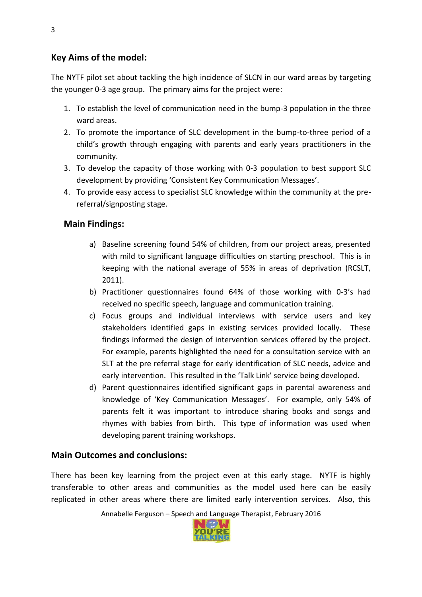#### **Key Aims of the model:**

The NYTF pilot set about tackling the high incidence of SLCN in our ward areas by targeting the younger 0-3 age group. The primary aims for the project were:

- 1. To establish the level of communication need in the bump-3 population in the three ward areas.
- 2. To promote the importance of SLC development in the bump-to-three period of a child's growth through engaging with parents and early years practitioners in the community.
- 3. To develop the capacity of those working with 0-3 population to best support SLC development by providing 'Consistent Key Communication Messages'.
- 4. To provide easy access to specialist SLC knowledge within the community at the prereferral/signposting stage.

#### **Main Findings:**

- a) Baseline screening found 54% of children, from our project areas, presented with mild to significant language difficulties on starting preschool. This is in keeping with the national average of 55% in areas of deprivation (RCSLT, 2011).
- b) Practitioner questionnaires found 64% of those working with 0-3's had received no specific speech, language and communication training.
- c) Focus groups and individual interviews with service users and key stakeholders identified gaps in existing services provided locally. These findings informed the design of intervention services offered by the project. For example, parents highlighted the need for a consultation service with an SLT at the pre referral stage for early identification of SLC needs, advice and early intervention. This resulted in the 'Talk Link' service being developed.
- d) Parent questionnaires identified significant gaps in parental awareness and knowledge of 'Key Communication Messages'. For example, only 54% of parents felt it was important to introduce sharing books and songs and rhymes with babies from birth. This type of information was used when developing parent training workshops.

#### **Main Outcomes and conclusions:**

There has been key learning from the project even at this early stage. NYTF is highly transferable to other areas and communities as the model used here can be easily replicated in other areas where there are limited early intervention services. Also, this

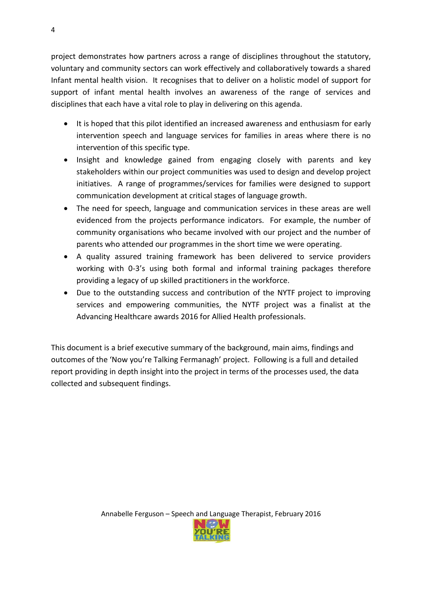project demonstrates how partners across a range of disciplines throughout the statutory, voluntary and community sectors can work effectively and collaboratively towards a shared Infant mental health vision. It recognises that to deliver on a holistic model of support for support of infant mental health involves an awareness of the range of services and disciplines that each have a vital role to play in delivering on this agenda.

- It is hoped that this pilot identified an increased awareness and enthusiasm for early intervention speech and language services for families in areas where there is no intervention of this specific type.
- Insight and knowledge gained from engaging closely with parents and key stakeholders within our project communities was used to design and develop project initiatives. A range of programmes/services for families were designed to support communication development at critical stages of language growth.
- The need for speech, language and communication services in these areas are well evidenced from the projects performance indicators. For example, the number of community organisations who became involved with our project and the number of parents who attended our programmes in the short time we were operating.
- A quality assured training framework has been delivered to service providers working with 0-3's using both formal and informal training packages therefore providing a legacy of up skilled practitioners in the workforce.
- Due to the outstanding success and contribution of the NYTF project to improving services and empowering communities, the NYTF project was a finalist at the Advancing Healthcare awards 2016 for Allied Health professionals.

This document is a brief executive summary of the background, main aims, findings and outcomes of the 'Now you're Talking Fermanagh' project. Following is a full and detailed report providing in depth insight into the project in terms of the processes used, the data collected and subsequent findings.



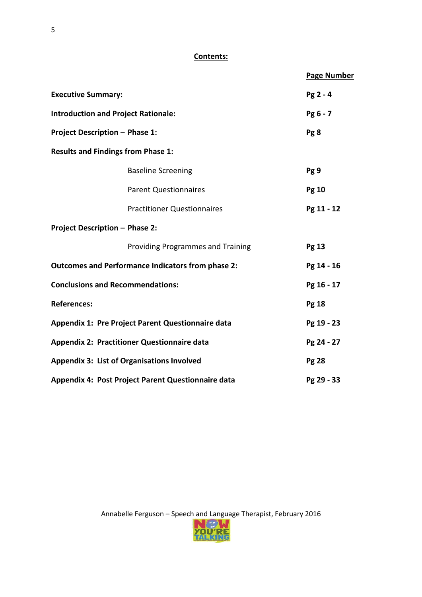#### **Contents:**

|                                                          |                                    |  | <b>Page Number</b> |
|----------------------------------------------------------|------------------------------------|--|--------------------|
| <b>Executive Summary:</b>                                |                                    |  | $Pg2 - 4$          |
| <b>Introduction and Project Rationale:</b>               |                                    |  | Pg 6 - 7           |
| <b>Project Description - Phase 1:</b>                    |                                    |  | Pg 8               |
| <b>Results and Findings from Phase 1:</b>                |                                    |  |                    |
|                                                          | <b>Baseline Screening</b>          |  | Pg 9               |
|                                                          | <b>Parent Questionnaires</b>       |  | <b>Pg 10</b>       |
|                                                          | <b>Practitioner Questionnaires</b> |  | Pg 11 - 12         |
| <b>Project Description - Phase 2:</b>                    |                                    |  |                    |
|                                                          | Providing Programmes and Training  |  | <b>Pg 13</b>       |
| <b>Outcomes and Performance Indicators from phase 2:</b> |                                    |  | Pg 14 - 16         |
| <b>Conclusions and Recommendations:</b>                  |                                    |  | Pg 16 - 17         |
| <b>References:</b>                                       |                                    |  | <b>Pg 18</b>       |
| Appendix 1: Pre Project Parent Questionnaire data        |                                    |  | Pg 19 - 23         |
| <b>Appendix 2: Practitioner Questionnaire data</b>       |                                    |  | Pg 24 - 27         |
| <b>Appendix 3: List of Organisations Involved</b>        |                                    |  | <b>Pg 28</b>       |
| Appendix 4: Post Project Parent Questionnaire data       |                                    |  | Pg 29 - 33         |

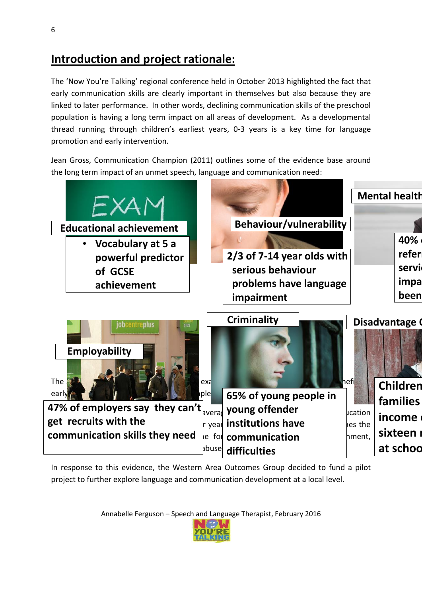# **Introduction and project rationale:**

The 'Now You're Talking' regional conference held in October 2013 highlighted the fact that early communication skills are clearly important in themselves but also because they are linked to later performance. In other words, declining communication skills of the preschool population is having a long term impact on all areas of development. As a developmental thread running through children's earliest years, 0-3 years is a key time for language promotion and early intervention.

Jean Gross, Communication Champion (2011) outlines some of the evidence base around the long term impact of an unmet speech, language and communication need:

|                                                |             |                                              |                | <b>Mental health</b>                 |
|------------------------------------------------|-------------|----------------------------------------------|----------------|--------------------------------------|
| <b>Educational achievement</b>                 |             | <b>Behaviour/vulnerability</b>               |                |                                      |
| Vocabulary at 5 a                              |             |                                              |                | 40%                                  |
| powerful predictor                             |             | 2/3 of 7-14 year olds with                   |                | refer                                |
| of GCSE                                        |             | serious behaviour                            |                | servi                                |
| achievement                                    |             | problems have language                       |                | impa                                 |
|                                                |             | impairment                                   |                | been                                 |
| jobcentreplus<br>Employability<br>The<br>early | exa<br> ple | <b>Criminality</b><br>65% of young people in | hefi <b>l</b>  | Disadvantage<br>Children<br>families |
| 47% of employers say they can't                | avera       | young offender                               | <b>ucation</b> |                                      |
| get recruits with the                          | year        | institutions have                            | hes the        | income                               |
| communication skills they need                 | le for      | communication                                | nment,         | sixteen                              |
|                                                | bbuse       | difficulties                                 |                | at schoo                             |

In response to this evidence, the Western Area Outcomes Group decided to fund a pilot project to further explore language and communication development at a local level.

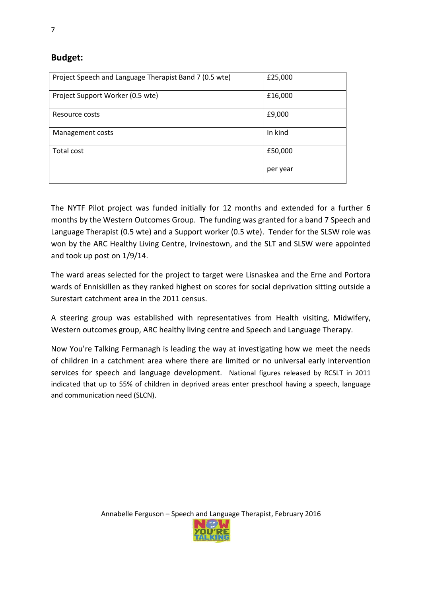#### **Budget:**

| Project Speech and Language Therapist Band 7 (0.5 wte) | £25,000  |
|--------------------------------------------------------|----------|
| Project Support Worker (0.5 wte)                       | £16,000  |
| Resource costs                                         | £9,000   |
| Management costs                                       | In kind  |
| Total cost                                             | £50,000  |
|                                                        | per year |

The NYTF Pilot project was funded initially for 12 months and extended for a further 6 months by the Western Outcomes Group. The funding was granted for a band 7 Speech and Language Therapist (0.5 wte) and a Support worker (0.5 wte). Tender for the SLSW role was won by the ARC Healthy Living Centre, Irvinestown, and the SLT and SLSW were appointed and took up post on 1/9/14.

The ward areas selected for the project to target were Lisnaskea and the Erne and Portora wards of Enniskillen as they ranked highest on scores for social deprivation sitting outside a Surestart catchment area in the 2011 census.

A steering group was established with representatives from Health visiting, Midwifery, Western outcomes group, ARC healthy living centre and Speech and Language Therapy.

Now You're Talking Fermanagh is leading the way at investigating how we meet the needs of children in a catchment area where there are limited or no universal early intervention services for speech and language development. National figures released by RCSLT in 2011 indicated that up to 55% of children in deprived areas enter preschool having a speech, language and communication need (SLCN).

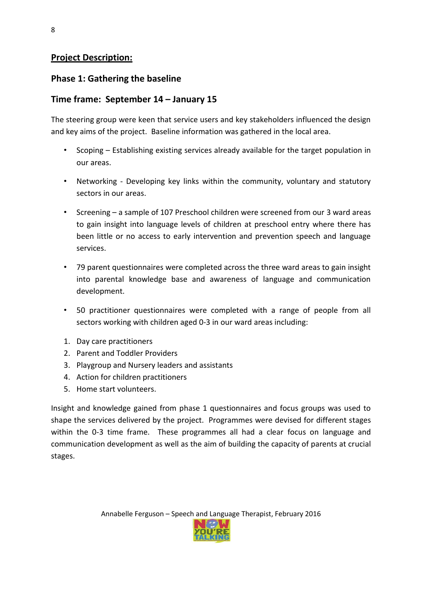#### **Project Description:**

#### **Phase 1: Gathering the baseline**

#### **Time frame: September 14 – January 15**

The steering group were keen that service users and key stakeholders influenced the design and key aims of the project. Baseline information was gathered in the local area.

- Scoping Establishing existing services already available for the target population in our areas.
- Networking Developing key links within the community, voluntary and statutory sectors in our areas.
- Screening a sample of 107 Preschool children were screened from our 3 ward areas to gain insight into language levels of children at preschool entry where there has been little or no access to early intervention and prevention speech and language services.
- 79 parent questionnaires were completed across the three ward areas to gain insight into parental knowledge base and awareness of language and communication development.
- 50 practitioner questionnaires were completed with a range of people from all sectors working with children aged 0-3 in our ward areas including:
- 1. Day care practitioners
- 2. Parent and Toddler Providers
- 3. Playgroup and Nursery leaders and assistants
- 4. Action for children practitioners
- 5. Home start volunteers.

Insight and knowledge gained from phase 1 questionnaires and focus groups was used to shape the services delivered by the project. Programmes were devised for different stages within the 0-3 time frame. These programmes all had a clear focus on language and communication development as well as the aim of building the capacity of parents at crucial stages.

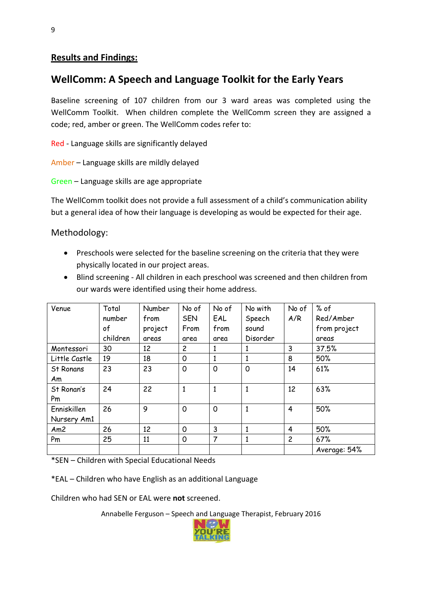#### **Results and Findings:**

#### **WellComm: A Speech and Language Toolkit for the Early Years**

Baseline screening of 107 children from our 3 ward areas was completed using the WellComm Toolkit. When children complete the WellComm screen they are assigned a code; red, amber or green. The WellComm codes refer to:

Red - Language skills are significantly delayed

Amber – Language skills are mildly delayed

Green – Language skills are age appropriate

The WellComm toolkit does not provide a full assessment of a child's communication ability but a general idea of how their language is developing as would be expected for their age.

Methodology:

- Preschools were selected for the baseline screening on the criteria that they were physically located in our project areas.
- Blind screening All children in each preschool was screened and then children from our wards were identified using their home address.

| Venue            | Total    | Number  | No of        | No of        | No with      | No of          | % of         |
|------------------|----------|---------|--------------|--------------|--------------|----------------|--------------|
|                  | number   | from    | <b>SEN</b>   | EAL          | Speech       | A/R            | Red/Amber    |
|                  | of       | project | From         | from         | sound        |                | from project |
|                  | children | areas   | area         | area         | Disorder     |                | areas        |
| Montessori       | 30       | 12      | 2            | 1            |              | 3              | 37.5%        |
| Little Castle    | 19       | 18      | $\mathsf{O}$ | 1            |              | 8              | 50%          |
| <b>St Ronans</b> | 23       | 23      | $\mathsf{O}$ | $\mathbf 0$  | $\mathsf{o}$ | 14             | 61%          |
| Am               |          |         |              |              |              |                |              |
| St Ronan's       | 24       | 22      | $\mathbf{1}$ | $\mathbf{1}$ | $\mathbf{1}$ | 12             | 63%          |
| Pm               |          |         |              |              |              |                |              |
| Enniskillen      | 26       | 9       | $\mathbf 0$  | $\mathbf 0$  | $\mathbf{1}$ | $\overline{4}$ | 50%          |
| Nursery Am1      |          |         |              |              |              |                |              |
| Am2              | 26       | 12      | 0            | 3            | 1            | 4              | 50%          |
| Pm               | 25       | 11      | $\mathsf{O}$ | 7            | 1            | $\overline{c}$ | 67%          |
|                  |          |         |              |              |              |                | Average: 54% |

\*SEN – Children with Special Educational Needs

\*EAL – Children who have English as an additional Language

Children who had SEN or EAL were **not** screened.

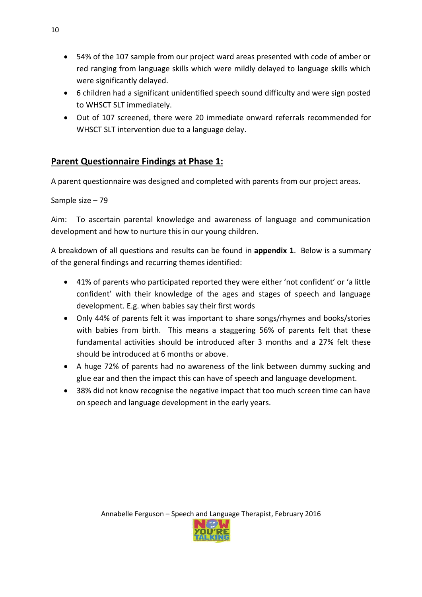- 54% of the 107 sample from our project ward areas presented with code of amber or red ranging from language skills which were mildly delayed to language skills which were significantly delayed.
- 6 children had a significant unidentified speech sound difficulty and were sign posted to WHSCT SLT immediately.
- Out of 107 screened, there were 20 immediate onward referrals recommended for WHSCT SLT intervention due to a language delay.

#### **Parent Questionnaire Findings at Phase 1:**

A parent questionnaire was designed and completed with parents from our project areas.

Sample size – 79

Aim: To ascertain parental knowledge and awareness of language and communication development and how to nurture this in our young children.

A breakdown of all questions and results can be found in **appendix 1**. Below is a summary of the general findings and recurring themes identified:

- 41% of parents who participated reported they were either 'not confident' or 'a little confident' with their knowledge of the ages and stages of speech and language development. E.g. when babies say their first words
- Only 44% of parents felt it was important to share songs/rhymes and books/stories with babies from birth. This means a staggering 56% of parents felt that these fundamental activities should be introduced after 3 months and a 27% felt these should be introduced at 6 months or above.
- A huge 72% of parents had no awareness of the link between dummy sucking and glue ear and then the impact this can have of speech and language development.
- 38% did not know recognise the negative impact that too much screen time can have on speech and language development in the early years.

10

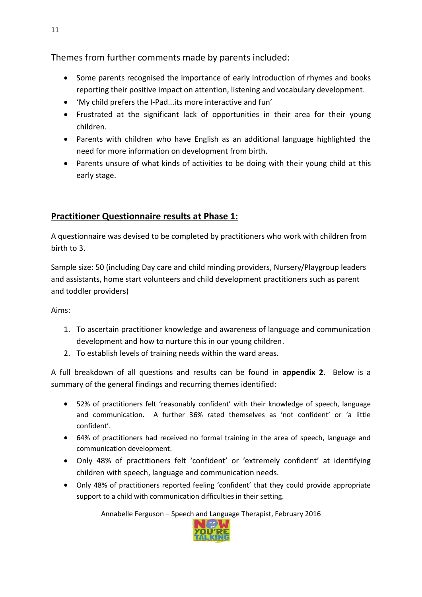Themes from further comments made by parents included:

- Some parents recognised the importance of early introduction of rhymes and books reporting their positive impact on attention, listening and vocabulary development.
- 'My child prefers the I-Pad...its more interactive and fun'
- Frustrated at the significant lack of opportunities in their area for their young children.
- Parents with children who have English as an additional language highlighted the need for more information on development from birth.
- Parents unsure of what kinds of activities to be doing with their young child at this early stage.

### **Practitioner Questionnaire results at Phase 1:**

A questionnaire was devised to be completed by practitioners who work with children from birth to 3.

Sample size: 50 (including Day care and child minding providers, Nursery/Playgroup leaders and assistants, home start volunteers and child development practitioners such as parent and toddler providers)

Aims:

- 1. To ascertain practitioner knowledge and awareness of language and communication development and how to nurture this in our young children.
- 2. To establish levels of training needs within the ward areas.

A full breakdown of all questions and results can be found in **appendix 2**. Below is a summary of the general findings and recurring themes identified:

- 52% of practitioners felt 'reasonably confident' with their knowledge of speech, language and communication. A further 36% rated themselves as 'not confident' or 'a little confident'.
- 64% of practitioners had received no formal training in the area of speech, language and communication development.
- Only 48% of practitioners felt 'confident' or 'extremely confident' at identifying children with speech, language and communication needs.
- Only 48% of practitioners reported feeling 'confident' that they could provide appropriate support to a child with communication difficulties in their setting.

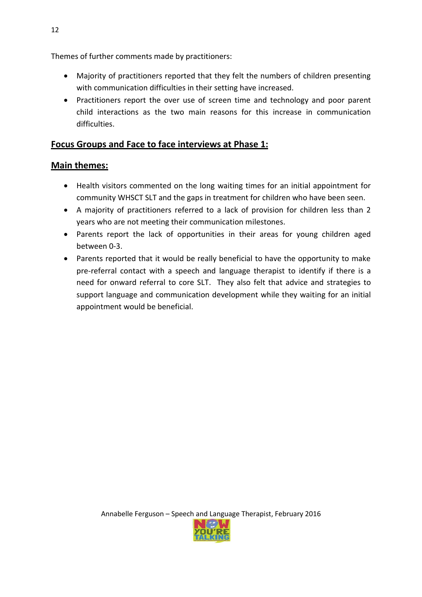Themes of further comments made by practitioners:

- Majority of practitioners reported that they felt the numbers of children presenting with communication difficulties in their setting have increased.
- Practitioners report the over use of screen time and technology and poor parent child interactions as the two main reasons for this increase in communication difficulties.

#### **Focus Groups and Face to face interviews at Phase 1:**

#### **Main themes:**

- Health visitors commented on the long waiting times for an initial appointment for community WHSCT SLT and the gaps in treatment for children who have been seen.
- A majority of practitioners referred to a lack of provision for children less than 2 years who are not meeting their communication milestones.
- Parents report the lack of opportunities in their areas for young children aged between 0-3.
- Parents reported that it would be really beneficial to have the opportunity to make pre-referral contact with a speech and language therapist to identify if there is a need for onward referral to core SLT. They also felt that advice and strategies to support language and communication development while they waiting for an initial appointment would be beneficial.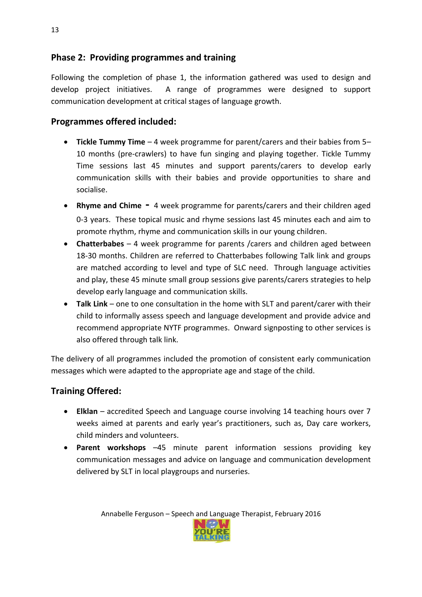#### **Phase 2: Providing programmes and training**

Following the completion of phase 1, the information gathered was used to design and develop project initiatives. A range of programmes were designed to support communication development at critical stages of language growth.

#### **Programmes offered included:**

- **Tickle Tummy Time** 4 week programme for parent/carers and their babies from 5– 10 months (pre-crawlers) to have fun singing and playing together. Tickle Tummy Time sessions last 45 minutes and support parents/carers to develop early communication skills with their babies and provide opportunities to share and socialise.
- **Rhyme and Chime -** 4 week programme for parents/carers and their children aged 0-3 years. These topical music and rhyme sessions last 45 minutes each and aim to promote rhythm, rhyme and communication skills in our young children.
- **Chatterbabes** 4 week programme for parents /carers and children aged between 18-30 months. Children are referred to Chatterbabes following Talk link and groups are matched according to level and type of SLC need. Through language activities and play, these 45 minute small group sessions give parents/carers strategies to help develop early language and communication skills.
- **Talk Link** one to one consultation in the home with SLT and parent/carer with their child to informally assess speech and language development and provide advice and recommend appropriate NYTF programmes. Onward signposting to other services is also offered through talk link.

The delivery of all programmes included the promotion of consistent early communication messages which were adapted to the appropriate age and stage of the child.

#### **Training Offered:**

- **Elklan** accredited Speech and Language course involving 14 teaching hours over 7 weeks aimed at parents and early year's practitioners, such as, Day care workers, child minders and volunteers.
- **Parent workshops** –45 minute parent information sessions providing key communication messages and advice on language and communication development delivered by SLT in local playgroups and nurseries.

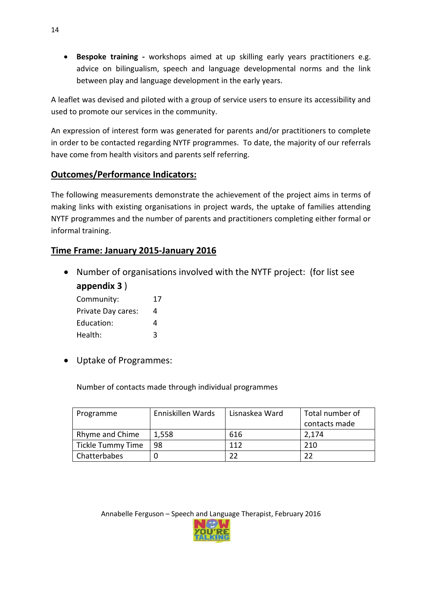**Bespoke training -** workshops aimed at up skilling early years practitioners e.g. advice on bilingualism, speech and language developmental norms and the link between play and language development in the early years.

A leaflet was devised and piloted with a group of service users to ensure its accessibility and used to promote our services in the community.

An expression of interest form was generated for parents and/or practitioners to complete in order to be contacted regarding NYTF programmes. To date, the majority of our referrals have come from health visitors and parents self referring.

#### **Outcomes/Performance Indicators:**

The following measurements demonstrate the achievement of the project aims in terms of making links with existing organisations in project wards, the uptake of families attending NYTF programmes and the number of parents and practitioners completing either formal or informal training.

#### **Time Frame: January 2015-January 2016**

Number of organisations involved with the NYTF project: (for list see

**appendix 3** )

| Community:         | 17 |
|--------------------|----|
| Private Day cares: | 4  |
| Education:         | 4  |
| Health:            | ζ  |

Uptake of Programmes:

Number of contacts made through individual programmes

| Programme         | Enniskillen Wards | Lisnaskea Ward | Total number of |
|-------------------|-------------------|----------------|-----------------|
|                   |                   |                | contacts made   |
| Rhyme and Chime   | 1,558             | 616            | 2,174           |
| Tickle Tummy Time | 98                | 112            | 210             |
| Chatterbabes      |                   |                |                 |

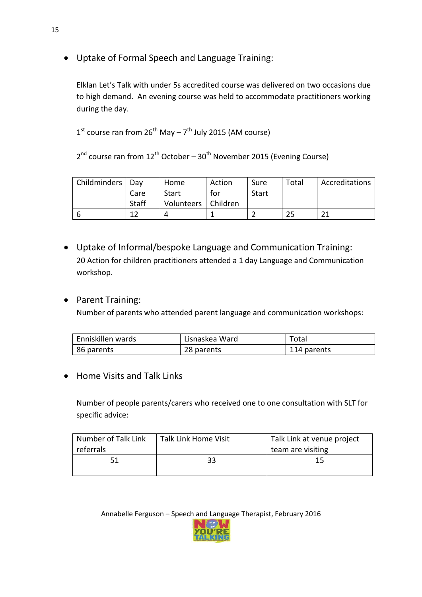Uptake of Formal Speech and Language Training:

Elklan Let's Talk with under 5s accredited course was delivered on two occasions due to high demand. An evening course was held to accommodate practitioners working during the day.

1<sup>st</sup> course ran from 26<sup>th</sup> May – 7<sup>th</sup> July 2015 (AM course)

2<sup>nd</sup> course ran from 12<sup>th</sup> October – 30<sup>th</sup> November 2015 (Evening Course)

| Childminders   Day |       | Home                  | Action | Sure  | Total | Accreditations |
|--------------------|-------|-----------------------|--------|-------|-------|----------------|
|                    | Care  | Start                 | for    | Start |       |                |
|                    | Staff | Volunteers   Children |        |       |       |                |
|                    |       |                       |        |       |       | ገ1             |

- Uptake of Informal/bespoke Language and Communication Training: 20 Action for children practitioners attended a 1 day Language and Communication workshop.
- Parent Training:

Number of parents who attended parent language and communication workshops:

| Enniskillen wards | Lisnaskea Ward | Total       |
|-------------------|----------------|-------------|
| 86 parents        | 28 parents     | 114 parents |

• Home Visits and Talk Links

Number of people parents/carers who received one to one consultation with SLT for specific advice:

| I Number of Talk Link<br>referrals | Talk Link Home Visit | Talk Link at venue project<br>team are visiting |
|------------------------------------|----------------------|-------------------------------------------------|
| 51                                 | 33                   | ר ו                                             |

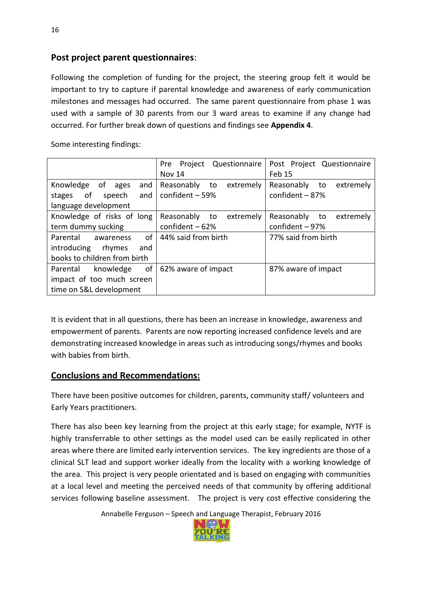#### **Post project parent questionnaires**:

Following the completion of funding for the project, the steering group felt it would be important to try to capture if parental knowledge and awareness of early communication milestones and messages had occurred. The same parent questionnaire from phase 1 was used with a sample of 30 parents from our 3 ward areas to examine if any change had occurred. For further break down of questions and findings see **Appendix 4**.

Some interesting findings:

|                                                                                             | Questionnaire<br>Pre<br>Project<br><b>Nov 14</b>  | Post Project Questionnaire<br>Feb 15              |
|---------------------------------------------------------------------------------------------|---------------------------------------------------|---------------------------------------------------|
| Knowledge<br>_of<br>and<br>ages<br>of<br>speech<br>and<br>stages<br>language development    | Reasonably<br>extremely<br>to<br>confident $-59%$ | Reasonably to<br>extremely<br>confident $-87%$    |
| Knowledge of risks of long<br>term dummy sucking                                            | extremely<br>Reasonably<br>to<br>confident $-62%$ | Reasonably<br>to<br>extremely<br>confident $-97%$ |
| οf<br>Parental<br>awareness<br>introducing<br>rhymes<br>and<br>books to children from birth | 44% said from birth                               | 77% said from birth                               |
| of<br>knowledge<br>Parental<br>impact of too much screen<br>time on S&L development         | 62% aware of impact                               | 87% aware of impact                               |

It is evident that in all questions, there has been an increase in knowledge, awareness and empowerment of parents. Parents are now reporting increased confidence levels and are demonstrating increased knowledge in areas such as introducing songs/rhymes and books with babies from birth.

#### **Conclusions and Recommendations:**

There have been positive outcomes for children, parents, community staff/ volunteers and Early Years practitioners.

There has also been key learning from the project at this early stage; for example, NYTF is highly transferrable to other settings as the model used can be easily replicated in other areas where there are limited early intervention services. The key ingredients are those of a clinical SLT lead and support worker ideally from the locality with a working knowledge of the area. This project is very people orientated and is based on engaging with communities at a local level and meeting the perceived needs of that community by offering additional services following baseline assessment. The project is very cost effective considering the

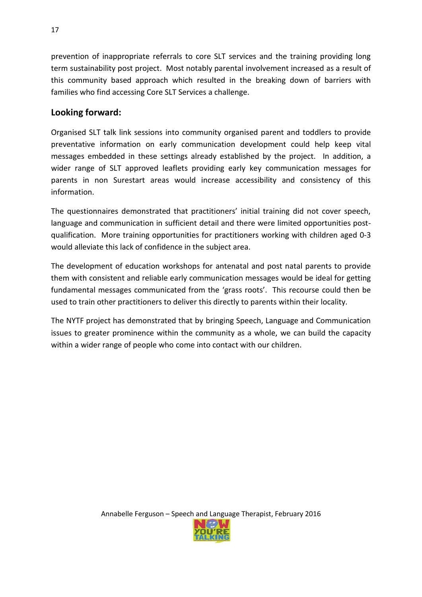prevention of inappropriate referrals to core SLT services and the training providing long term sustainability post project. Most notably parental involvement increased as a result of this community based approach which resulted in the breaking down of barriers with families who find accessing Core SLT Services a challenge.

#### **Looking forward:**

Organised SLT talk link sessions into community organised parent and toddlers to provide preventative information on early communication development could help keep vital messages embedded in these settings already established by the project. In addition, a wider range of SLT approved leaflets providing early key communication messages for parents in non Surestart areas would increase accessibility and consistency of this information.

The questionnaires demonstrated that practitioners' initial training did not cover speech, language and communication in sufficient detail and there were limited opportunities postqualification. More training opportunities for practitioners working with children aged 0-3 would alleviate this lack of confidence in the subject area.

The development of education workshops for antenatal and post natal parents to provide them with consistent and reliable early communication messages would be ideal for getting fundamental messages communicated from the 'grass roots'. This recourse could then be used to train other practitioners to deliver this directly to parents within their locality.

The NYTF project has demonstrated that by bringing Speech, Language and Communication issues to greater prominence within the community as a whole, we can build the capacity within a wider range of people who come into contact with our children.

17

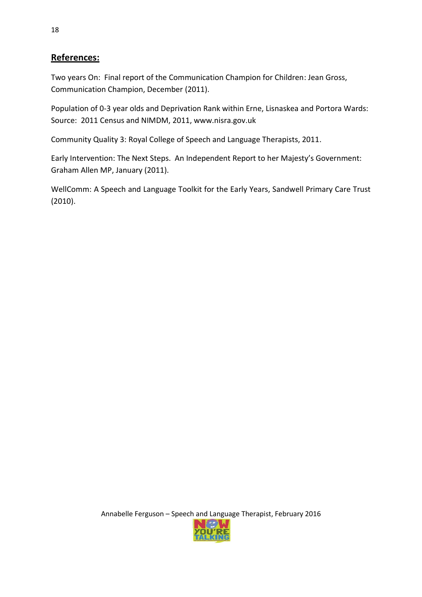#### **References:**

Two years On: Final report of the Communication Champion for Children: Jean Gross, Communication Champion, December (2011).

Population of 0-3 year olds and Deprivation Rank within Erne, Lisnaskea and Portora Wards: Source: 2011 Census and NIMDM, 2011, www.nisra.gov.uk

Community Quality 3: Royal College of Speech and Language Therapists, 2011.

Early Intervention: The Next Steps. An Independent Report to her Majesty's Government: Graham Allen MP, January (2011).

WellComm: A Speech and Language Toolkit for the Early Years, Sandwell Primary Care Trust (2010).

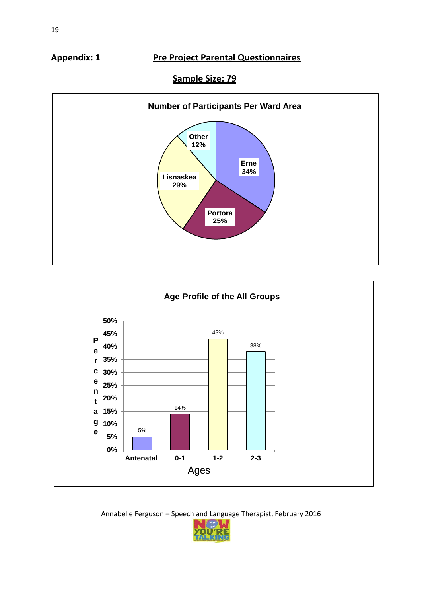#### **Appendix: 1 Pre Project Parental Questionnaires**

#### **Sample Size: 79**





Annabelle Ferguson – Speech and Language Therapist, February 2016

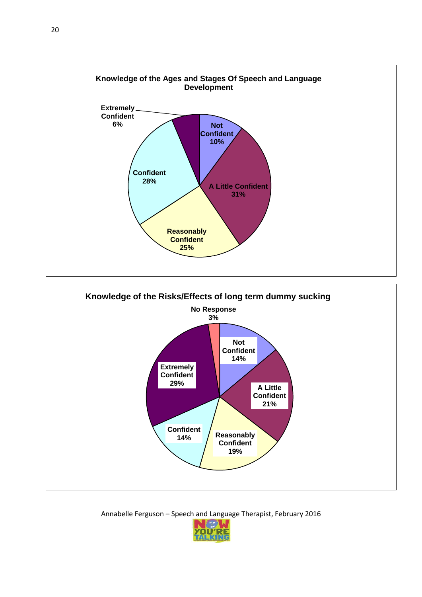

Annabelle Ferguson – Speech and Language Therapist, February 2016

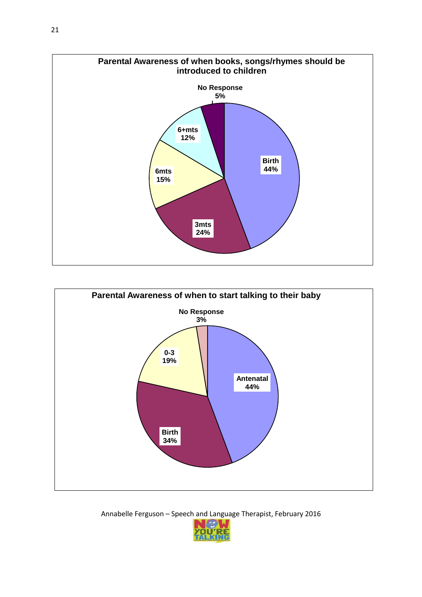



Annabelle Ferguson – Speech and Language Therapist, February 2016

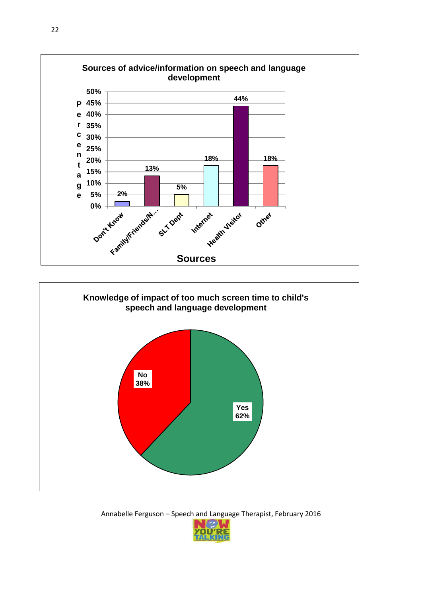



Annabelle Ferguson – Speech and Language Therapist, February 2016

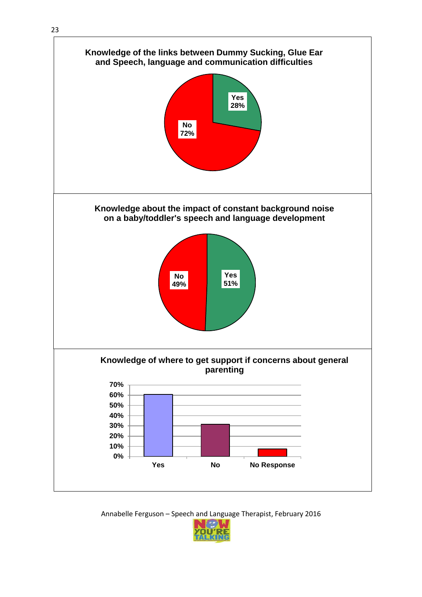

Annabelle Ferguson – Speech and Language Therapist, February 2016

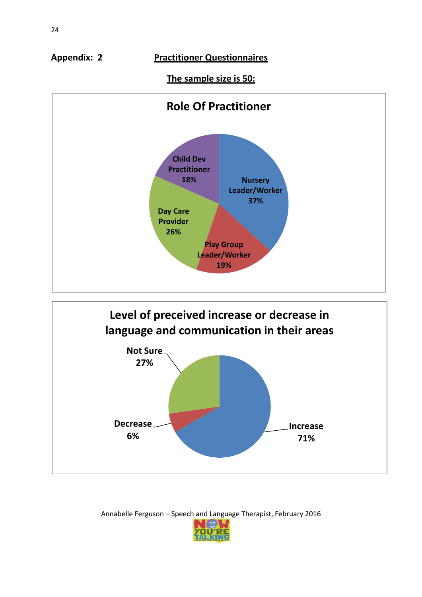**Appendix: 2 Practitioner Questionnaires**

#### **The sample size is 50:**





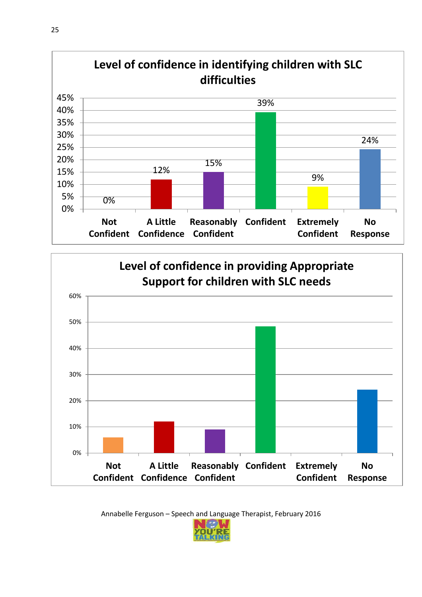



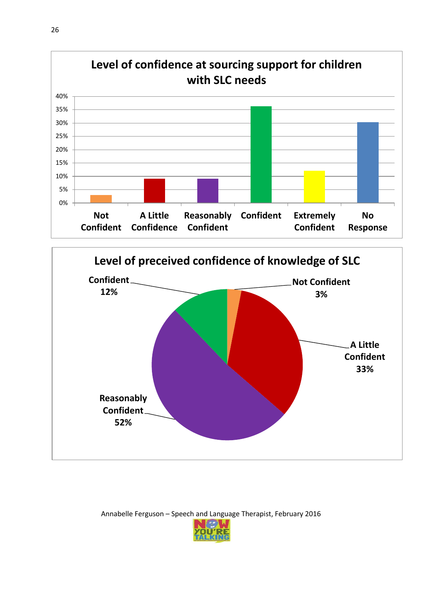



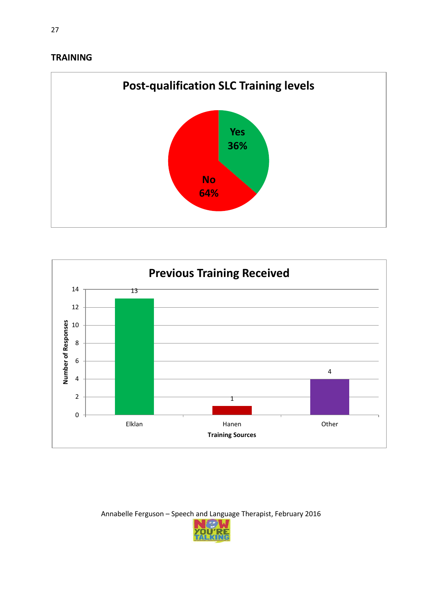#### **TRAINING**





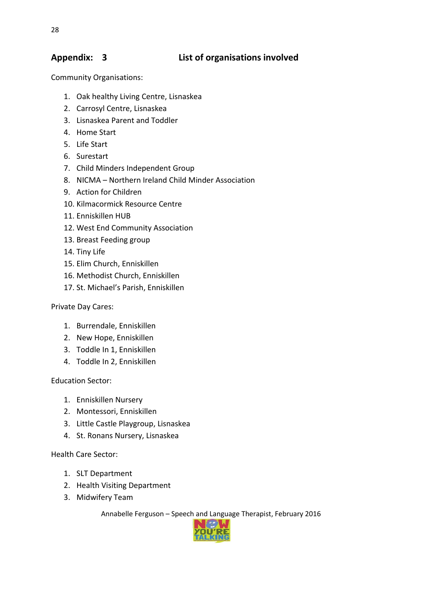#### **Appendix: 3 List of organisations involved**

Community Organisations:

- 1. Oak healthy Living Centre, Lisnaskea
- 2. Carrosyl Centre, Lisnaskea
- 3. Lisnaskea Parent and Toddler
- 4. Home Start
- 5. Life Start
- 6. Surestart
- 7. Child Minders Independent Group
- 8. NICMA Northern Ireland Child Minder Association
- 9. Action for Children
- 10. Kilmacormick Resource Centre
- 11. Enniskillen HUB
- 12. West End Community Association
- 13. Breast Feeding group
- 14. Tiny Life
- 15. Elim Church, Enniskillen
- 16. Methodist Church, Enniskillen
- 17. St. Michael's Parish, Enniskillen

#### Private Day Cares:

- 1. Burrendale, Enniskillen
- 2. New Hope, Enniskillen
- 3. Toddle In 1, Enniskillen
- 4. Toddle In 2, Enniskillen

Education Sector:

- 1. Enniskillen Nursery
- 2. Montessori, Enniskillen
- 3. Little Castle Playgroup, Lisnaskea
- 4. St. Ronans Nursery, Lisnaskea

#### Health Care Sector:

- 1. SLT Department
- 2. Health Visiting Department
- 3. Midwifery Team

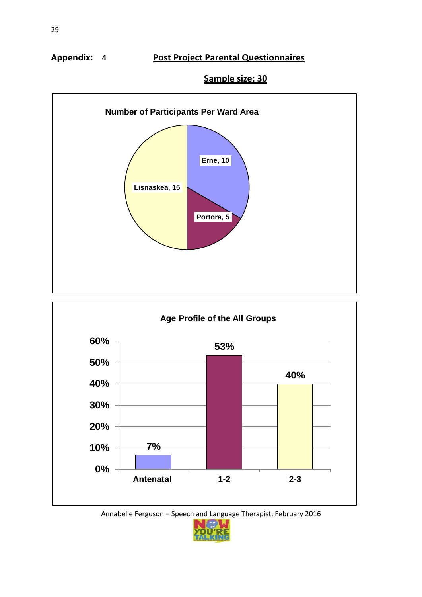#### **Appendix: 4 Post Project Parental Questionnaires**

#### **Sample size: 30**





Annabelle Ferguson – Speech and Language Therapist, February 2016

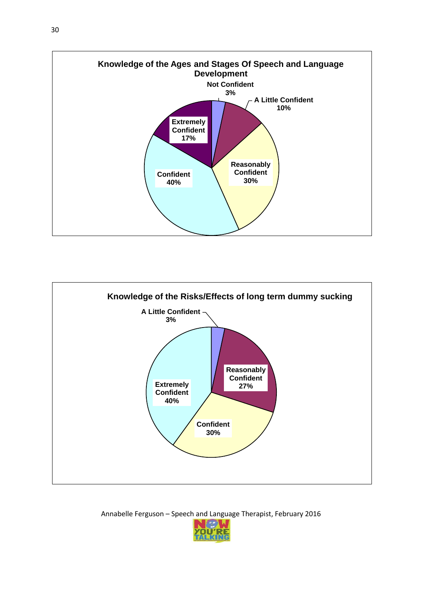



Annabelle Ferguson – Speech and Language Therapist, February 2016

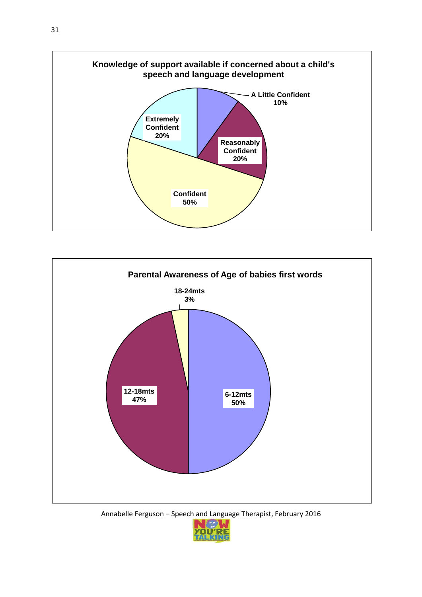



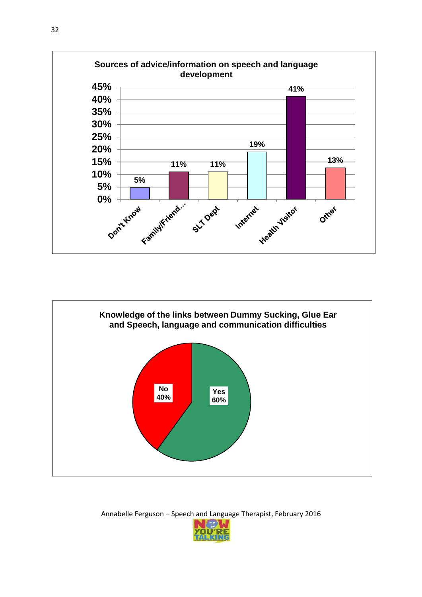



Annabelle Ferguson – Speech and Language Therapist, February 2016